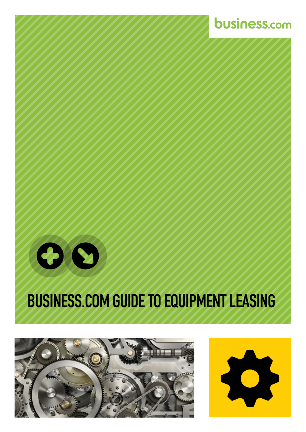

### BUSINESS.COM GUIDE TO EQUIPMENT LEASING







**business.com**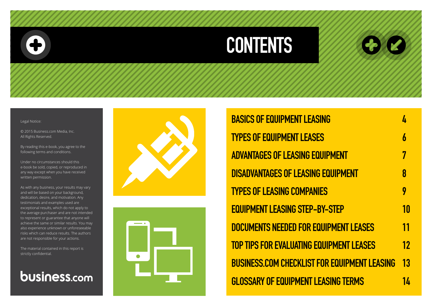## CONTENTS

#### Legal Notice:

© 2015 Business.com Media, Inc. All Rights Reserved.

By reading this e-book, you agree to the following terms and conditions.

Under no circumstances should this e-book be sold, copied, or reproduced in any way except when you have received written permission.

As with any business, your results may vary and will be based on your background, dedication, desire, and motivation. Any testimonials and examples used are exceptional results, which do not apply to the average purchaser and are not intended to represent or guarantee that anyone will achieve the same or similar results. You may also experience unknown or unforeseeable risks which can reduce results. The authors are not responsible for your actions.

The material contained in this report is strictly confidential.

### business.com





**BASICS OF EQUIPMENT LEASIN** TYPES OF EQUIPMENT LEASES **ADVANTAGES OF LEASING EQUI DISADVANTAGES OF LEASING E** TYPES OF LEASING COMPANIES **EQUIPMENT LEASING STEP-BY-**DOCUMENTS NEEDED FOR EQU **TOP TIPS FOR EVALUATING EQU BUSINESS.COM CHECKLIST FOR GLOSSARY OF EQUIPMENT LEA** 

| G                     | 4                |
|-----------------------|------------------|
|                       | $\boldsymbol{b}$ |
| <b>PMENT</b>          | 7                |
| <b>QUIPMENT</b>       | 8                |
| י<br>כ                | 9                |
| <b>STEP</b>           | 10               |
| <b>IPMENT LEASES</b>  | 11               |
| <b>IIPMENT LEASES</b> | 12               |
| R EQUIPMENT LEASING   | 13               |
| <b>SING TERMS</b>     | 14               |
|                       |                  |

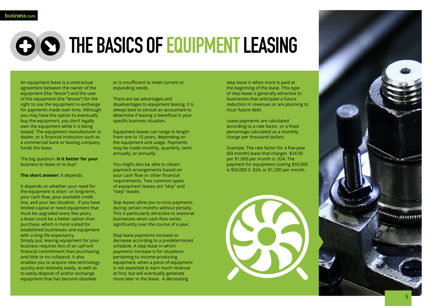# CO SO THE BASICS OF EQUIPMENT LEASING

step lease is when more is paid at the beginning of the lease. This type of step lease is generally attractive to businesses that anticipate a future reduction in revenues or are planning to incur future debt.

Lease payments are calculated according to a rate factor, or a fixed percentage calculated as a monthly charge per thousand dollars.

Example: The rate factor for a five-year (60-month) lease that charges \$24.00 per \$1,000 per month is .024. The payment for equipment costing \$50,000 is \$50,000 X .024, or \$1,200 per month.



An equipment lease is a contractual agreement between the owner of the equipment (the "lessor") and the user of the equipment (the "lessee") for the right to use the equipment in exchange for payments made over time. Although you may have the option to eventually buy the equipment, you don't legally own the equipment while it is being leased. The equipment manufacturer or dealer, or a financial institution such as a commercial bank or leasing company, funds the lease.

The big question: **Is it better for your**  business to lease or to buy?

### **The short answer:** It depends.

It depends on whether your need for the equipment is short- or long-term, your cash flow, your available credit line, and your tax situation. If you have limited capital or need equipment that must be upgraded every few years, a lease could be a better option than purchase, which is more suited for established businesses and equipment with a long life expectancy. Simply put, leasing equipment for your business requires less of an upfront financial commitment than purchasing, and little or no collateral. It also enables you to acquire new technology quickly and relatively easily, as well as to easily dispose of and/or exchange equipment that has become obsolete

or is insufficient to meet current or expanding needs.

There are tax advantages and disadvantages to equipment leasing. It is always best to consult an accountant to determine if leasing is beneficial in your specific business situation.

Equipment leases can range in length from one to 10 years, depending on the equipment and usage. Payments may be made monthly, quarterly, semiannually, or annually.

You might also be able to obtain payment arrangements based on your cash flow or other financial requirements. Two common types of equipment leases are "skip" and "step" leases.

Skip leases allow you to miss payments during certain months without penalty. This is particularly attractive to seasonal businesses when cash flow varies significantly over the course of a year.

Step lease payments increase or decrease according to a predetermined schedule. A step lease in which payments increase is for situations pertaining to income-producing equipment, when a piece of equipment is not expected to earn much revenue at first, but will eventually generate more later in the lease. A decreasing

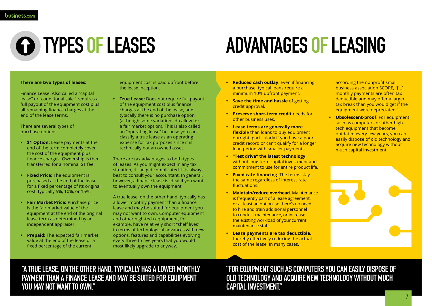

## **Q TYPES OF LEASES**

### **There are two types of leases:**

Finance Lease: Also called a "capital lease" or "conditional sale," requires a full payout of the equipment cost plus all remaining finance charges at the end of the lease terms.

There are several types of purchase options:

- **• \$1 Option:** Lease payments at the end of the term completely cover the cost of the equipment plus finance charges. Ownership is then transferred for a nominal \$1 fee.
- **• Fixed Price:** The equipment is purchased at the end of the lease for a fixed percentage of its original cost, typically 5%, 10%, or 15%.
- **• Fair Market Price:** Purchase price is the fair market value of the equipment at the end of the original lease term as determined by an independent appraiser.
- **• Prepaid:** The expected fair market value at the end of the lease or a fixed percentage of the current

equipment cost is paid upfront before the lease inception.

**• True Lease:** Does not require full payout of the equipment cost plus finance charges at the end of the lease, and typically there is no purchase option (although some variations do allow for a fair market option). This is also called an "operating lease" because you can't classify a true lease as an operating expense for tax purposes since it is technically not an owned asset.

There are tax advantages to both types of leases. As you might expect in any tax situation, it can get complicated. It is always best to consult your accountant. In general, however, a finance lease is ideal if you want to eventually own the equipment.

A true lease, on the other hand, typically has a lower monthly payment than a finance lease and may be suited for equipment you may not want to own. Computer equipment and other high-tech equipment, for example, have relatively short "shelf lives" in terms of technological advances with new options, features and capabilities evolving every three to five years that you would most likely upgrade to anyway.

# ADVANTAGES OF LEASING

- **• Reduced cash outlay**. Even if financing a purchase, typical loans require a minimum 10% upfront payment.
- **• Save the time and hassle** of getting credit approval.
- **• Preserve short-term credit** needs for other business uses.
- **• Lease terms are generally more flexible** than loans to buy equipment outright, particularly if you have a poor credit record or can't qualify for a longer loan period with smaller payments.
- **• "Test drive" the latest technology** without long-term capital investment and commitment to use for entire product life.
- **• Fixed-rate financing**. The terms stay the same regardless of interest rate fluctuations.
- **• Maintain/reduce overhead**. Maintenance is frequently part of a lease agreement, or at least an option, so there's no need to hire and train additional personnel to conduct maintenance, or increase the existing workload of your current maintenance staff.
- **• Lease payments are tax deductible**, thereby effectively reducing the actual cost of the lease. In many cases,

according the nonprofit small business association SCORE, "[...] monthly payments are often tax deductible and may offer a larger tax break than you would get if the equipment were depreciated."

**• Obsolescent-proof**. For equipment such as computers or other hightech equipment that become outdated every few years, you can easily dispose of old technology and acquire new technology without much capital investment.

"A TRUE LEASE, ON THE OTHER HAND, TYPICALLY HAS A LOWER MONTHLY PAYMENT THAN A FINANCE LEASE AND MAY BE SUITED FOR EQUIPMENT YOU MAY NOT WANT TO OWN."

"FOR EQUIPMENT SUCH AS COMPUTERS YOU CAN EASILY DISPOSE OF OLD TECHNOLOGY AND ACQUIRE NEW TECHNOLOGY WITHOUT MUCH CAPITAL INVESTMENT."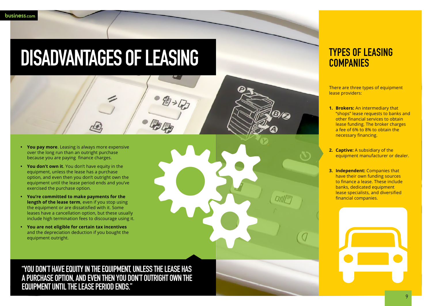- **• You pay more**. Leasing is always more expensive over the long run than an outright purchase because you are paying finance charges.
- **• You don't own it**. You don't have equity in the equipment, unless the lease has a purchase option, and even then you don't outright own the equipment until the lease period ends and you've exercised the purchase option.
- **• You're committed to make payments for the length of the lease term**, even if you stop using the equipment or are dissatisfied with it. Some leases have a cancellation option, but these usually include high termination fees to discourage using it.
- **• You are not eligible for certain tax incentives**  and the depreciation deduction if you bought the equipment outright.



### TYPES OF LEASING **COMPANIES**

## DISADVANTAGES OF LEASING

自观

"YOU DON'T HAVE EQUITY IN THE EQUIPMENT, UNLESS THE LEASE HAS A PURCHASE OPTION, AND EVEN THEN YOU DON'T OUTRIGHT OWN THE EQUIPMENT UNTIL THE LEASE PERIOD ENDS."

There are three types of equipment lease providers:

- **1. Brokers:** An intermediary that "shops" lease requests to banks and other financial services to obtain lease funding. The broker charges a fee of 6% to 8% to obtain the necessary financing.
- **2. Captive:** A subsidiary of the equipment manufacturer or dealer.
- **3. Independent:** Companies that have their own funding sources to finance a lease. These include banks, dedicated equipment lease specialists, and diversified financial companies.

9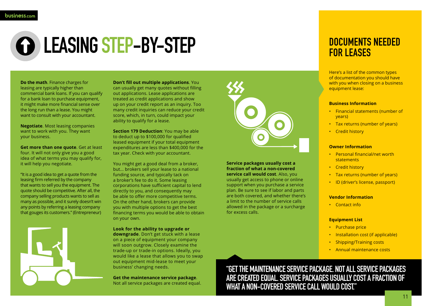

## LEASING STEP-BY-STEP

**Do the math**. Finance charges for leasing are typically higher than commercial bank loans. If you can qualify for a bank loan to purchase equipment, it might make more financial sense over the long run than a lease. You might want to consult with your accountant.

**Negotiate**. Most leasing companies want to work with you. They want your business.

**Get more than one quote**. Get at least four. It will not only give you a good idea of what terms you may qualify for, it will help you negotiate.

"It is a good idea to get a quote from the leasing firm referred by the company that wants to sell you the equipment. The quote should be competitive. After all, the company selling products wants to sell as many as possible, and it surely doesn't win any points by referring a leasing company that gouges its customers." (Entrepreneur)



**Don't fill out multiple applications**. You can usually get many quotes without filling out applications. Lease applications are treated as credit applications and show up on your credit report as an inquiry. Too many credit inquiries can reduce your credit score, which, in turn, could impact your ability to qualify for a lease.

**Section 179 Deduction**: You may be able to deduct up to \$100,000 for qualified leased equipment if your total equipment expenditures are less than \$400,000 for the tax year. Check with your accountant.

You might get a good deal from a broker, but... brokers sell your lease to a national funding source, and typically tack on a broker's fee to do it. Some leasing corporations have sufficient capital to lend directly to you, and consequently may be able to offer more competitive terms. On the other hand, brokers can provide you with multiple options to get the best financing terms you would be able to obtain on your own.

### **Look for the ability to upgrade or**

**downgrade**. Don't get stuck with a lease on a piece of equipment your company will soon outgrow. Closely examine the trade-up or trade-in options. Ideally, you would like a lease that allows you to swap out equipment mid-lease to meet your business' changing needs.

**Get the maintenance service package**. Not all service packages are created equal.



Here's a list of the common types of documentation you should have with you when closing on a business equipment lease:

### **Business Information**

- Financial statements (number of years)
- Tax returns (number of years)
- Credit history

### **Owner Information**

- Personal financial/net worth **statements**
- Credit history
- Tax returns (number of years)
- ID (driver's license, passport)

### **Vendor Information**

• Contact info

### **Equipment List**

- Purchase price
- Installation cost (if applicable)
- Shipping/Training costs
- Annual maintenance costs

"GET THE MAINTENANCE SERVICE PACKAGE. NOT ALL SERVICE PACKAGES ARE CREATED EQUAL. SERVICE PACKAGES USUALLY COST A FRACTION OF WHAT A NON-COVERED SERVICE CALL WOULD COST."

### DOCUMENTS NEEDED FOR LEASES

**Service packages usually cost a fraction of what a non-covered service call would cost**. Also, you usually get access to phone or online support when you purchase a service plan. Be sure to see if labor and parts are both covered, and whether there's a limit to the number of service calls allowed in the package or a surcharge for excess calls.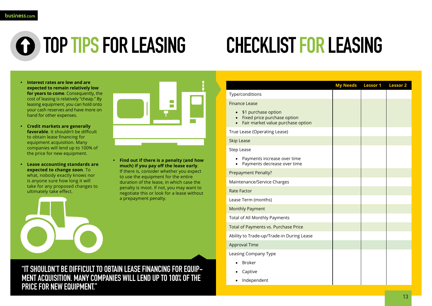

# **G** TOP TIPS FOR LEASING

- **• Interest rates are low and are expected to remain relatively low for years to come.** Consequently, the cost of leasing is relatively "cheap." By leasing equipment, you can hold onto your cash reserves and have more on hand for other expenses.
- **• Credit markets are generally favorable**. It shouldn't be difficult to obtain lease financing for equipment acquisition. Many companies will lend up to 100% of the price for new equipment.
- **• Lease accounting standards are expected to change soon**. To what, nobody exactly knows nor is anyone sure how long it will take for any proposed changes to ultimately take effect.



**• Find out if there is a penalty (and how much) if you pay off the lease early**. If there is, consider whether you expect to use the equipment for the entire duration of the lease, in which case the penalty is moot. If not, you may want to negotiate this or look for a lease without a prepayment penalty.



# CHECKLIST FOR LEASING

"IT SHOULDN'T BE DIFFICULT TO OBTAIN LEASE FINANCING FOR EQUIP-MENT ACQUISITION. MANY COMPANIES WILL LEND UP TO 100% OF THE PRICE FOR NEW EQUIPMENT."

| My Needs Lessor 1 Lessor 2 |  |
|----------------------------|--|
|                            |  |
|                            |  |
|                            |  |
|                            |  |
|                            |  |
|                            |  |
|                            |  |
|                            |  |
|                            |  |
|                            |  |
|                            |  |
|                            |  |
|                            |  |
|                            |  |
|                            |  |
|                            |  |
|                            |  |
|                            |  |
|                            |  |

### Type/conditions

Finance Lease

- \$1 purchase option
- Fixed price purchase option
- Fair market value purchase option

### True Lease (Operating Lease)

### Skip Lease

Step Lease

- • Payments increase over time
- • Payments decrease over time

Prepayment Penalty?

Maintenance/Service Charges

Rate Factor

Lease Term (months)

Monthly Payment

Total of All Monthly Payments

Total of Payments vs. Purchase Price

Ability to Trade-up/Trade-in During Lease

Approval Time

Leasing Company Type

- • Broker
- • Captive
- • Independent